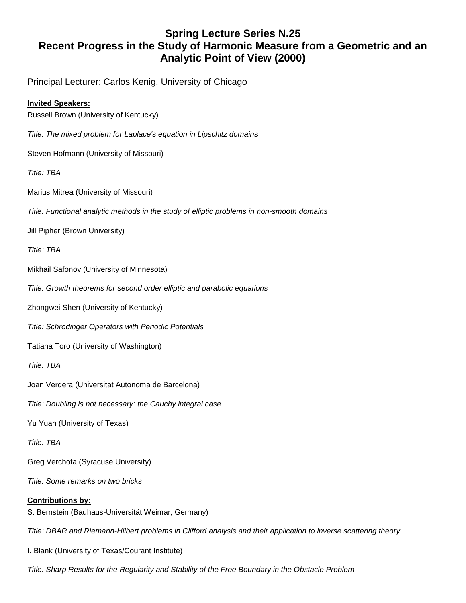## **Spring Lecture Series N.25 Recent Progress in the Study of Harmonic Measure from a Geometric and an Analytic Point of View (2000)**

Principal Lecturer: Carlos Kenig, University of Chicago

## **Invited Speakers:**

Russell Brown (University of Kentucky)

- *Title: The mixed problem for Laplace's equation in Lipschitz domains*
- Steven Hofmann (University of Missouri)

*Title: TBA*

Marius Mitrea (University of Missouri)

*Title: Functional analytic methods in the study of elliptic problems in non-smooth domains*

Jill Pipher (Brown University)

*Title: TBA*

Mikhail Safonov (University of Minnesota)

*Title: Growth theorems for second order elliptic and parabolic equations*

Zhongwei Shen (University of Kentucky)

*Title: Schrodinger Operators with Periodic Potentials*

Tatiana Toro (University of Washington)

*Title: TBA*

Joan Verdera (Universitat Autonoma de Barcelona)

*Title: Doubling is not necessary: the Cauchy integral case*

Yu Yuan (University of Texas)

*Title: TBA*

Greg Verchota (Syracuse University)

*Title: Some remarks on two bricks*

## **Contributions by:**

S. Bernstein (Bauhaus-Universität Weimar, Germany)

*Title: DBAR and Riemann-Hilbert problems in Clifford analysis and their application to inverse scattering theory*

I. Blank (University of Texas/Courant Institute)

*Title: Sharp Results for the Regularity and Stability of the Free Boundary in the Obstacle Problem*